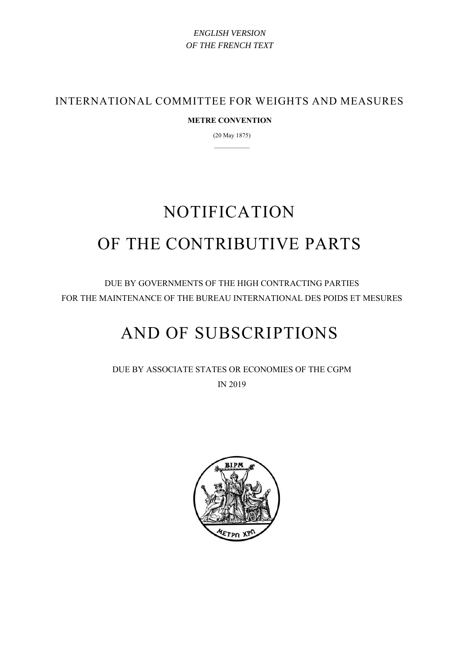## *ENGLISH VERSION OF THE FRENCH TEXT*

INTERNATIONAL COMMITTEE FOR WEIGHTS AND MEASURES

## **METRE CONVENTION**

(20 May 1875) —————

# NOTIFICATION OF THE CONTRIBUTIVE PARTS

DUE BY GOVERNMENTS OF THE HIGH CONTRACTING PARTIES FOR THE MAINTENANCE OF THE BUREAU INTERNATIONAL DES POIDS ET MESURES

## AND OF SUBSCRIPTIONS

DUE BY ASSOCIATE STATES OR ECONOMIES OF THE CGPM IN 2019

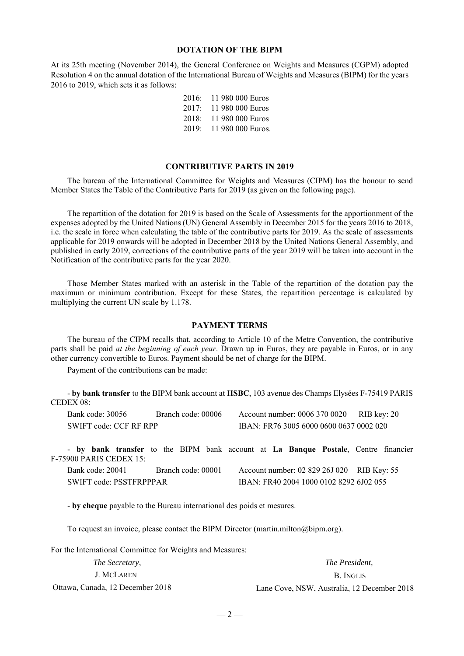#### **DOTATION OF THE BIPM**

At its 25th meeting (November 2014), the General Conference on Weights and Measures (CGPM) adopted Resolution 4 on the annual dotation of the International Bureau of Weights and Measures (BIPM) for the years 2016 to 2019, which sets it as follows:

| 2016: | 11 980 000 Euros  |
|-------|-------------------|
| 2017: | 11 980 000 Euros  |
| 2018: | 11 980 000 Euros  |
| 2019: | 11 980 000 Euros. |

#### **CONTRIBUTIVE PARTS IN 2019**

The bureau of the International Committee for Weights and Measures (CIPM) has the honour to send Member States the Table of the Contributive Parts for 2019 (as given on the following page).

The repartition of the dotation for 2019 is based on the Scale of Assessments for the apportionment of the expenses adopted by the United Nations (UN) General Assembly in December 2015 for the years 2016 to 2018, i.e. the scale in force when calculating the table of the contributive parts for 2019. As the scale of assessments applicable for 2019 onwards will be adopted in December 2018 by the United Nations General Assembly, and published in early 2019, corrections of the contributive parts of the year 2019 will be taken into account in the Notification of the contributive parts for the year 2020.

Those Member States marked with an asterisk in the Table of the repartition of the dotation pay the maximum or minimum contribution. Except for these States, the repartition percentage is calculated by multiplying the current UN scale by 1.178.

#### **PAYMENT TERMS**

The bureau of the CIPM recalls that, according to Article 10 of the Metre Convention, the contributive parts shall be paid *at the beginning of each year*. Drawn up in Euros, they are payable in Euros, or in any other currency convertible to Euros. Payment should be net of charge for the BIPM.

Payment of the contributions can be made:

- **by bank transfer** to the BIPM bank account at **HSBC**, 103 avenue des Champs Elysées F-75419 PARIS CEDEX 08:

|                        | Bank code: 30056                                                                                              | Branch code: 00006 |  |                                         | Account number: 0006 370 0020 RIB key: 20  |  |  |
|------------------------|---------------------------------------------------------------------------------------------------------------|--------------------|--|-----------------------------------------|--------------------------------------------|--|--|
| SWIFT code: CCF RF RPP |                                                                                                               |                    |  | IBAN: FR76 3005 6000 0600 0637 0002 020 |                                            |  |  |
|                        | - by bank transfer to the BIPM bank account at La Banque Postale, Centre financier<br>F-75900 PARIS CEDEX 15: |                    |  |                                         |                                            |  |  |
|                        | Bank code: 20041                                                                                              | Branch code: 00001 |  |                                         | Account number: 02 829 26J 020 RIB Key: 55 |  |  |
|                        | SWIFT code: PSSTFRPPPAR                                                                                       |                    |  |                                         | IBAN: FR40 2004 1000 0102 8292 6J02 055    |  |  |

- **by cheque** payable to the Bureau international des poids et mesures.

To request an invoice, please contact the BIPM Director (martin.milton@bipm.org).

For the International Committee for Weights and Measures:

| <i>The Secretary,</i>            | The President.                              |
|----------------------------------|---------------------------------------------|
| J. MCLAREN                       | B. INGLIS                                   |
| Ottawa, Canada, 12 December 2018 | Lane Cove, NSW, Australia, 12 December 2018 |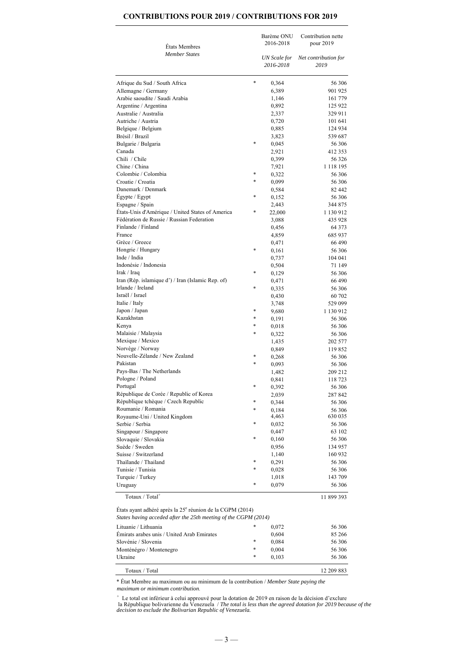|                                                   |        | Barème ONU<br>2016-2018 | Contribution nette<br>pour 2019 |  |  |
|---------------------------------------------------|--------|-------------------------|---------------------------------|--|--|
| États Membres                                     |        |                         |                                 |  |  |
| <b>Member States</b>                              |        | UN Scale for            | Net contribution for            |  |  |
|                                                   |        | 2016-2018               | 2019                            |  |  |
| Afrique du Sud / South Africa                     | *      | 0,364                   | 56 306                          |  |  |
| Allemagne / Germany                               |        | 6,389                   | 901 925                         |  |  |
| Arabie saoudite / Saudi Arabia                    |        | 1,146                   | 161 779                         |  |  |
| Argentine / Argentina                             |        | 0,892                   | 125 922                         |  |  |
| Australie / Australia                             |        | 2,337                   | 329 911                         |  |  |
| Autriche / Austria                                |        | 0,720                   | 101 641                         |  |  |
| Belgique / Belgium                                |        | 0,885                   | 124 934                         |  |  |
| Brésil / Brazil                                   |        | 3,823                   | 539 687                         |  |  |
| Bulgarie / Bulgaria                               | $\ast$ | 0,045                   | 56 306                          |  |  |
| Canada                                            |        | 2,921                   | 412 353                         |  |  |
| Chili / Chile                                     |        | 0,399                   | 56 326                          |  |  |
| Chine / China                                     |        | 7,921                   | 1 118 195                       |  |  |
| Colombie / Colombia                               | *      | 0,322                   | 56 306                          |  |  |
| Croatie / Croatia                                 | $\ast$ | 0,099                   | 56 306                          |  |  |
| Danemark / Denmark                                |        | 0,584                   | 82 442                          |  |  |
| Égypte / Egypt                                    | $\ast$ | 0,152                   | 56 306                          |  |  |
| Espagne / Spain                                   |        | 2,443                   | 344 875                         |  |  |
| États-Unis d'Amérique / United States of America  | *      | 22,000                  | 1 130 912                       |  |  |
| Fédération de Russie / Russian Federation         |        | 3,088                   | 435 928                         |  |  |
| Finlande / Finland                                |        | 0,456                   | 64 3 7 3                        |  |  |
| France                                            |        | 4,859                   | 685 937                         |  |  |
| Grèce / Greece                                    |        | 0,471                   | 66 490                          |  |  |
| Hongrie / Hungary                                 | *      | 0,161                   | 56 306                          |  |  |
| Inde / India                                      |        | 0,737                   | 104 041                         |  |  |
| Indonésie / Indonesia                             |        | 0,504                   | 71 149                          |  |  |
| Irak / Iraq                                       | *      | 0,129                   | 56 306                          |  |  |
| Iran (Rép. islamique d') / Iran (Islamic Rep. of) |        | 0,471                   | 66 490                          |  |  |
| Irlande / Ireland                                 | $\ast$ | 0,335                   | 56 306                          |  |  |
| Israël / Israel                                   |        | 0,430                   | 60 702                          |  |  |
| Italie / Italy                                    |        | 3,748                   | 529 099                         |  |  |
| Japon / Japan                                     | *      | 9,680                   | 1 130 912                       |  |  |
| Kazakhstan                                        | *      | 0,191                   | 56 306                          |  |  |
| Kenya                                             | *      | 0,018                   | 56 306                          |  |  |
| Malaisie / Malaysia                               | $\ast$ | 0,322                   | 56 306                          |  |  |
| Mexique / Mexico                                  |        | 1,435                   | 202 577                         |  |  |
| Norvège / Norway                                  |        | 0,849                   | 119852                          |  |  |
| Nouvelle-Zélande / New Zealand                    | *      | 0,268                   | 56 306                          |  |  |
| Pakistan                                          | $\ast$ | 0,093                   | 56 306                          |  |  |
| Pays-Bas / The Netherlands                        |        | 1,482                   | 209 212                         |  |  |
| Pologne / Poland                                  |        | 0,841                   | 118723                          |  |  |
| Portugal                                          | $\ast$ | 0,392                   | 56 306                          |  |  |
| République de Corée / Republic of Korea           |        | 2,039                   | 287 842                         |  |  |
| République tchèque / Czech Republic               | *      | 0,344                   | 56 306                          |  |  |
| Roumanie / Romania                                | *      | 0,184                   | 56 306                          |  |  |
| Royaume-Uni / United Kingdom                      |        | 4,463                   | 630 035                         |  |  |
| Serbie / Serbia                                   | $\ast$ | 0,032                   | 56 306                          |  |  |
| Singapour / Singapore                             |        | 0,447                   | 63 102                          |  |  |
| Slovaquie / Slovakia                              | $\ast$ | 0,160                   | 56 306                          |  |  |
| Suède / Sweden                                    |        | 0,956                   | 134 957                         |  |  |
| Suisse / Switzerland                              |        | 1,140                   | 160 932                         |  |  |
| Thaïlande / Thailand                              | *      | 0,291                   | 56 306                          |  |  |
| Tunisie / Tunisia                                 | *      | 0,028                   | 56 306                          |  |  |
| Turquie / Turkey                                  |        | 1,018                   | 143 709                         |  |  |
| Uruguay                                           | *      | 0,079                   | 56 306                          |  |  |

 $Total<sup>+</sup>$  11 899 393

## États ayant adhéré après la 25<sup>e</sup> réunion de la CGPM (2014)

| Lituanie / Lithuania                       | *      | 0.072 | 56 306     |
|--------------------------------------------|--------|-------|------------|
| Émirats arabes unis / United Arab Emirates |        | 0,604 | 85 266     |
| Slovénie / Slovenia                        | *      | 0,084 | 56 306     |
| Monténégro / Montenegro                    | $\ast$ | 0,004 | 56 306     |
| Ukraine                                    | *      | 0.103 | 56 306     |
| Totaux / Total                             |        |       | 12 209 883 |

*States having acceded after the 25th meeting of the CGPM (2014)*

\* État Membre au maximum ou au minimum de la contribution / *Member State paying the maximum or minimum contribution.*

 $-3-$ 

+ Le total est inférieur à celui approuvé pour la dotation de 2019 en raison de la décision d'exclure la République bolivarienne du Venezuela / *The total is less than the agreed dotation for 2019 because of the decision to exclude the Bolivarian Republic of Venezuela.*

## **CONTRIBUTIONS POUR 2019 / CONTRIBUTIONS FOR 2019**